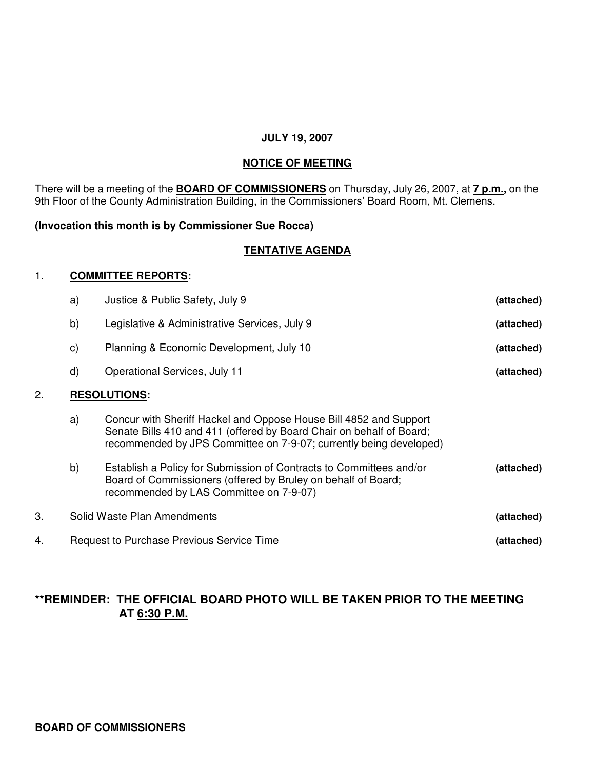## **JULY 19, 2007**

## **NOTICE OF MEETING**

There will be a meeting of the **BOARD OF COMMISSIONERS** on Thursday, July 26, 2007, at **7 p.m.,** on the 9th Floor of the County Administration Building, in the Commissioners' Board Room, Mt. Clemens.

### **(Invocation this month is by Commissioner Sue Rocca)**

### **TENTATIVE AGENDA**

#### 1. **COMMITTEE REPORTS:**

|    | a)                                                      | Justice & Public Safety, July 9                                                                                                                                                                                 | (attached) |
|----|---------------------------------------------------------|-----------------------------------------------------------------------------------------------------------------------------------------------------------------------------------------------------------------|------------|
|    | b)                                                      | Legislative & Administrative Services, July 9                                                                                                                                                                   | (attached) |
|    | $\mathsf{c})$                                           | Planning & Economic Development, July 10                                                                                                                                                                        | (attached) |
|    | d)                                                      | <b>Operational Services, July 11</b>                                                                                                                                                                            | (attached) |
| 2. | <b>RESOLUTIONS:</b>                                     |                                                                                                                                                                                                                 |            |
|    | a)                                                      | Concur with Sheriff Hackel and Oppose House Bill 4852 and Support<br>Senate Bills 410 and 411 (offered by Board Chair on behalf of Board;<br>recommended by JPS Committee on 7-9-07; currently being developed) |            |
|    | b)                                                      | Establish a Policy for Submission of Contracts to Committees and/or<br>Board of Commissioners (offered by Bruley on behalf of Board;<br>recommended by LAS Committee on 7-9-07)                                 | (attached) |
| 3. | Solid Waste Plan Amendments                             |                                                                                                                                                                                                                 | (attached) |
| 4. | Request to Purchase Previous Service Time<br>(attached) |                                                                                                                                                                                                                 |            |

# **\*\*REMINDER: THE OFFICIAL BOARD PHOTO WILL BE TAKEN PRIOR TO THE MEETING AT 6:30 P.M.**